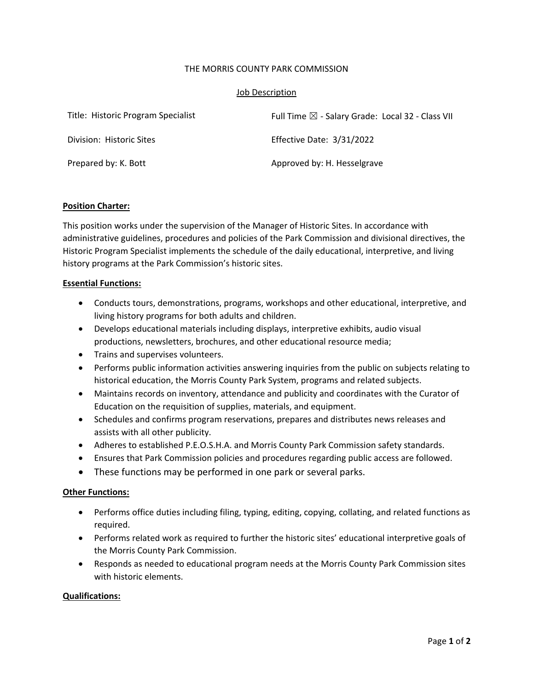# THE MORRIS COUNTY PARK COMMISSION

# Job Description

| Title: Historic Program Specialist | Full Time $\boxtimes$ - Salary Grade: Local 32 - Class VII |
|------------------------------------|------------------------------------------------------------|
| Division: Historic Sites           | Effective Date: 3/31/2022                                  |
| Prepared by: K. Bott               | Approved by: H. Hesselgrave                                |

# **Position Charter:**

This position works under the supervision of the Manager of Historic Sites. In accordance with administrative guidelines, procedures and policies of the Park Commission and divisional directives, the Historic Program Specialist implements the schedule of the daily educational, interpretive, and living history programs at the Park Commission's historic sites.

# **Essential Functions:**

- Conducts tours, demonstrations, programs, workshops and other educational, interpretive, and living history programs for both adults and children.
- Develops educational materials including displays, interpretive exhibits, audio visual productions, newsletters, brochures, and other educational resource media;
- Trains and supervises volunteers.
- Performs public information activities answering inquiries from the public on subjects relating to historical education, the Morris County Park System, programs and related subjects.
- Maintains records on inventory, attendance and publicity and coordinates with the Curator of Education on the requisition of supplies, materials, and equipment.
- Schedules and confirms program reservations, prepares and distributes news releases and assists with all other publicity.
- Adheres to established P.E.O.S.H.A. and Morris County Park Commission safety standards.
- Ensures that Park Commission policies and procedures regarding public access are followed.
- These functions may be performed in one park or several parks.

# **Other Functions:**

- Performs office duties including filing, typing, editing, copying, collating, and related functions as required.
- Performs related work as required to further the historic sites' educational interpretive goals of the Morris County Park Commission.
- Responds as needed to educational program needs at the Morris County Park Commission sites with historic elements.

# **Qualifications:**